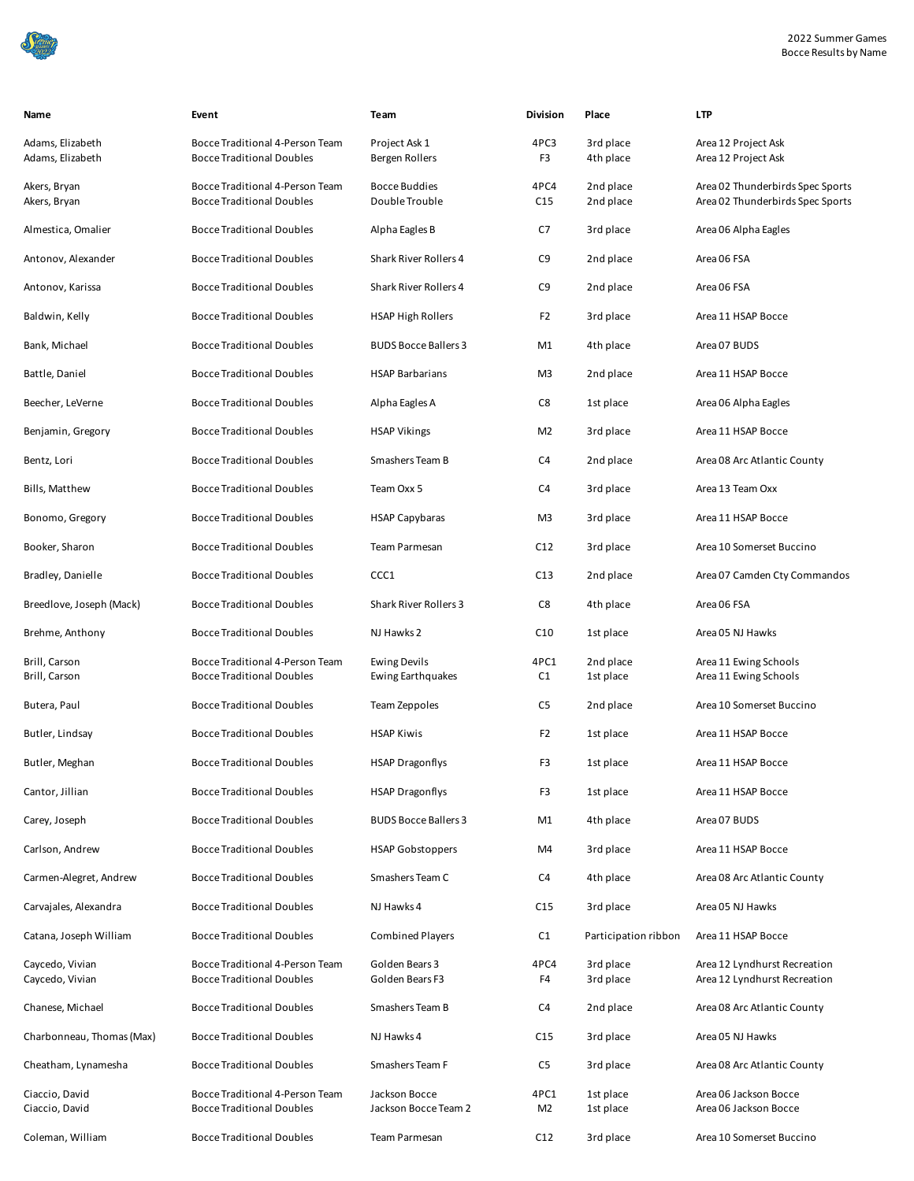| Name                                 | Event                                                               | Team                                     | <b>Division</b> | Place                  | <b>LTP</b>                                                           |
|--------------------------------------|---------------------------------------------------------------------|------------------------------------------|-----------------|------------------------|----------------------------------------------------------------------|
| Adams, Elizabeth<br>Adams, Elizabeth | Bocce Traditional 4-Person Team<br><b>Bocce Traditional Doubles</b> | Project Ask 1<br>Bergen Rollers          | 4PC3<br>F3      | 3rd place<br>4th place | Area 12 Project Ask<br>Area 12 Project Ask                           |
| Akers, Bryan<br>Akers, Bryan         | Bocce Traditional 4-Person Team<br><b>Bocce Traditional Doubles</b> | <b>Bocce Buddies</b><br>Double Trouble   | 4PC4<br>C15     | 2nd place<br>2nd place | Area 02 Thunderbirds Spec Sports<br>Area 02 Thunderbirds Spec Sports |
| Almestica, Omalier                   | <b>Bocce Traditional Doubles</b>                                    | Alpha Eagles B                           | C7              | 3rd place              | Area 06 Alpha Eagles                                                 |
| Antonov, Alexander                   | <b>Bocce Traditional Doubles</b>                                    | Shark River Rollers 4                    | C9              | 2nd place              | Area 06 FSA                                                          |
| Antonov, Karissa                     | <b>Bocce Traditional Doubles</b>                                    | <b>Shark River Rollers 4</b>             | C9              | 2nd place              | Area 06 FSA                                                          |
| Baldwin, Kelly                       | <b>Bocce Traditional Doubles</b>                                    | <b>HSAP High Rollers</b>                 | F <sub>2</sub>  | 3rd place              | Area 11 HSAP Bocce                                                   |
| Bank, Michael                        | <b>Bocce Traditional Doubles</b>                                    | <b>BUDS Bocce Ballers 3</b>              | M1              | 4th place              | Area 07 BUDS                                                         |
| Battle, Daniel                       | <b>Bocce Traditional Doubles</b>                                    | <b>HSAP Barbarians</b>                   | M3              | 2nd place              | Area 11 HSAP Bocce                                                   |
| Beecher, LeVerne                     | <b>Bocce Traditional Doubles</b>                                    | Alpha Eagles A                           | C8              | 1st place              | Area 06 Alpha Eagles                                                 |
| Benjamin, Gregory                    | <b>Bocce Traditional Doubles</b>                                    | <b>HSAP Vikings</b>                      | M <sub>2</sub>  | 3rd place              | Area 11 HSAP Bocce                                                   |
| Bentz, Lori                          | <b>Bocce Traditional Doubles</b>                                    | Smashers Team B                          | C4              | 2nd place              | Area 08 Arc Atlantic County                                          |
| Bills, Matthew                       | <b>Bocce Traditional Doubles</b>                                    | Team Oxx 5                               | C4              | 3rd place              | Area 13 Team Oxx                                                     |
| Bonomo, Gregory                      | <b>Bocce Traditional Doubles</b>                                    | <b>HSAP Capybaras</b>                    | M3              | 3rd place              | Area 11 HSAP Bocce                                                   |
| Booker, Sharon                       | <b>Bocce Traditional Doubles</b>                                    | Team Parmesan                            | C12             | 3rd place              | Area 10 Somerset Buccino                                             |
| Bradley, Danielle                    | <b>Bocce Traditional Doubles</b>                                    | CCC1                                     | C13             | 2nd place              | Area 07 Camden Cty Commandos                                         |
| Breedlove, Joseph (Mack)             | <b>Bocce Traditional Doubles</b>                                    | Shark River Rollers 3                    | C8              | 4th place              | Area 06 FSA                                                          |
| Brehme, Anthony                      | <b>Bocce Traditional Doubles</b>                                    | NJ Hawks 2                               | C10             | 1st place              | Area 05 NJ Hawks                                                     |
| Brill, Carson<br>Brill, Carson       | Bocce Traditional 4-Person Team<br><b>Bocce Traditional Doubles</b> | <b>Ewing Devils</b><br>Ewing Earthquakes | 4PC1<br>C1      | 2nd place<br>1st place | Area 11 Ewing Schools<br>Area 11 Ewing Schools                       |
| Butera, Paul                         | <b>Bocce Traditional Doubles</b>                                    | Team Zeppoles                            | C5              | 2nd place              | Area 10 Somerset Buccino                                             |
| Butler, Lindsay                      | <b>Bocce Traditional Doubles</b>                                    | <b>HSAP Kiwis</b>                        | F <sub>2</sub>  | 1st place              | Area 11 HSAP Bocce                                                   |
| Butler, Meghan                       | <b>Bocce Traditional Doubles</b>                                    | <b>HSAP Dragonflys</b>                   | F3              | 1st place              | Area 11 HSAP Bocce                                                   |
| Cantor, Jillian                      | <b>Bocce Traditional Doubles</b>                                    | <b>HSAP Dragonflys</b>                   | F3              | 1st place              | Area 11 HSAP Bocce                                                   |
| Carey, Joseph                        | <b>Bocce Traditional Doubles</b>                                    | <b>BUDS Bocce Ballers 3</b>              | M1              | 4th place              | Area 07 BUDS                                                         |
| Carlson, Andrew                      | <b>Bocce Traditional Doubles</b>                                    | <b>HSAP Gobstoppers</b>                  | M4              | 3rd place              | Area 11 HSAP Bocce                                                   |
| Carmen-Alegret, Andrew               | <b>Bocce Traditional Doubles</b>                                    | Smashers Team C                          | C4              | 4th place              | Area 08 Arc Atlantic County                                          |
| Carvajales, Alexandra                | <b>Bocce Traditional Doubles</b>                                    | NJ Hawks 4                               | C15             | 3rd place              | Area 05 NJ Hawks                                                     |
| Catana, Joseph William               | <b>Bocce Traditional Doubles</b>                                    | <b>Combined Players</b>                  | C1              | Participation ribbon   | Area 11 HSAP Bocce                                                   |
| Caycedo, Vivian<br>Caycedo, Vivian   | Bocce Traditional 4-Person Team<br><b>Bocce Traditional Doubles</b> | Golden Bears 3<br>Golden Bears F3        | 4PC4<br>F4      | 3rd place<br>3rd place | Area 12 Lyndhurst Recreation<br>Area 12 Lyndhurst Recreation         |
| Chanese, Michael                     | <b>Bocce Traditional Doubles</b>                                    | Smashers Team B                          | C4              | 2nd place              | Area 08 Arc Atlantic County                                          |
| Charbonneau, Thomas (Max)            | <b>Bocce Traditional Doubles</b>                                    | NJ Hawks 4                               | C15             | 3rd place              | Area 05 NJ Hawks                                                     |
| Cheatham, Lynamesha                  | <b>Bocce Traditional Doubles</b>                                    | Smashers Team F                          | C5              | 3rd place              | Area 08 Arc Atlantic County                                          |
| Ciaccio, David<br>Ciaccio, David     | Bocce Traditional 4-Person Team<br><b>Bocce Traditional Doubles</b> | Jackson Bocce<br>Jackson Bocce Team 2    | 4PC1<br>M2      | 1st place<br>1st place | Area 06 Jackson Bocce<br>Area 06 Jackson Bocce                       |
| Coleman, William                     | <b>Bocce Traditional Doubles</b>                                    | Team Parmesan                            | C12             | 3rd place              | Area 10 Somerset Buccino                                             |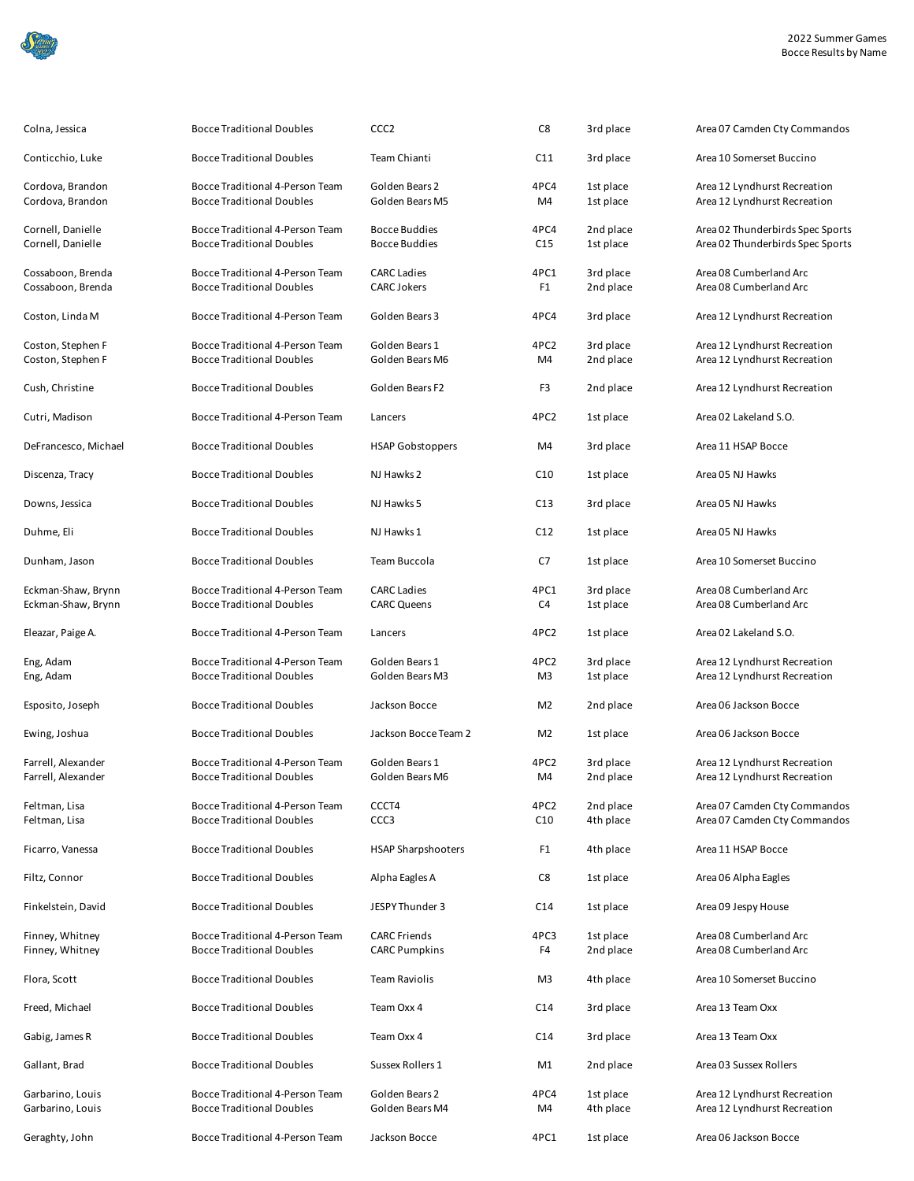|--|

| Colna, Jessica                           | <b>Bocce Traditional Doubles</b>                                    | CCC <sub>2</sub>                             | C8              | 3rd place              | Area 07 Camden Cty Commandos                                         |
|------------------------------------------|---------------------------------------------------------------------|----------------------------------------------|-----------------|------------------------|----------------------------------------------------------------------|
| Conticchio, Luke                         | Bocce Traditional Doubles                                           | Team Chianti                                 | C11             | 3rd place              | Area 10 Somerset Buccino                                             |
| Cordova, Brandon<br>Cordova, Brandon     | Bocce Traditional 4-Person Team<br><b>Bocce Traditional Doubles</b> | Golden Bears 2<br>Golden Bears M5            | 4PC4<br>M4      | 1st place<br>1st place | Area 12 Lyndhurst Recreation<br>Area 12 Lyndhurst Recreation         |
| Cornell, Danielle<br>Cornell, Danielle   | Bocce Traditional 4-Person Team<br><b>Bocce Traditional Doubles</b> | <b>Bocce Buddies</b><br><b>Bocce Buddies</b> | 4PC4<br>C15     | 2nd place<br>1st place | Area 02 Thunderbirds Spec Sports<br>Area 02 Thunderbirds Spec Sports |
| Cossaboon, Brenda<br>Cossaboon, Brenda   | Bocce Traditional 4-Person Team<br><b>Bocce Traditional Doubles</b> | <b>CARC Ladies</b><br><b>CARC Jokers</b>     | 4PC1<br>F1      | 3rd place<br>2nd place | Area 08 Cumberland Arc<br>Area 08 Cumberland Arc                     |
| Coston, Linda M                          | Bocce Traditional 4-Person Team                                     | Golden Bears 3                               | 4PC4            | 3rd place              | Area 12 Lyndhurst Recreation                                         |
| Coston, Stephen F<br>Coston, Stephen F   | Bocce Traditional 4-Person Team<br><b>Bocce Traditional Doubles</b> | Golden Bears 1<br>Golden Bears M6            | 4PC2<br>M4      | 3rd place<br>2nd place | Area 12 Lyndhurst Recreation<br>Area 12 Lyndhurst Recreation         |
| Cush, Christine                          | <b>Bocce Traditional Doubles</b>                                    | Golden Bears F2                              | F3              | 2nd place              | Area 12 Lyndhurst Recreation                                         |
| Cutri, Madison                           | Bocce Traditional 4-Person Team                                     | Lancers                                      | 4PC2            | 1st place              | Area 02 Lakeland S.O.                                                |
| DeFrancesco, Michael                     | <b>Bocce Traditional Doubles</b>                                    | <b>HSAP Gobstoppers</b>                      | M4              | 3rd place              | Area 11 HSAP Bocce                                                   |
| Discenza, Tracy                          | <b>Bocce Traditional Doubles</b>                                    | NJ Hawks 2                                   | C10             | 1st place              | Area 05 NJ Hawks                                                     |
| Downs, Jessica                           | <b>Bocce Traditional Doubles</b>                                    | NJ Hawks 5                                   | C13             | 3rd place              | Area 05 NJ Hawks                                                     |
| Duhme, Eli                               | <b>Bocce Traditional Doubles</b>                                    | NJ Hawks 1                                   | C12             | 1st place              | Area 05 NJ Hawks                                                     |
| Dunham, Jason                            | <b>Bocce Traditional Doubles</b>                                    | Team Buccola                                 | C7              | 1st place              | Area 10 Somerset Buccino                                             |
| Eckman-Shaw, Brynn<br>Eckman-Shaw, Brynn | Bocce Traditional 4-Person Team<br><b>Bocce Traditional Doubles</b> | <b>CARC Ladies</b><br><b>CARC Queens</b>     | 4PC1<br>C4      | 3rd place<br>1st place | Area 08 Cumberland Arc<br>Area 08 Cumberland Arc                     |
| Eleazar, Paige A.                        | Bocce Traditional 4-Person Team                                     | Lancers                                      | 4PC2            | 1st place              | Area 02 Lakeland S.O.                                                |
| Eng, Adam<br>Eng, Adam                   | Bocce Traditional 4-Person Team<br><b>Bocce Traditional Doubles</b> | Golden Bears 1<br>Golden Bears M3            | 4PC2<br>M3      | 3rd place<br>1st place | Area 12 Lyndhurst Recreation<br>Area 12 Lyndhurst Recreation         |
| Esposito, Joseph                         | <b>Bocce Traditional Doubles</b>                                    | Jackson Bocce                                | M <sub>2</sub>  | 2nd place              | Area 06 Jackson Bocce                                                |
| Ewing, Joshua                            | <b>Bocce Traditional Doubles</b>                                    | Jackson Bocce Team 2                         | M <sub>2</sub>  | 1st place              | Area 06 Jackson Bocce                                                |
| Farrell, Alexander<br>Farrell, Alexander | Bocce Traditional 4-Person Team<br><b>Bocce Traditional Doubles</b> | Golden Bears 1<br>Golden Bears M6            | 4PC2<br>M4      | 3rd place<br>2nd place | Area 12 Lyndhurst Recreation<br>Area 12 Lyndhurst Recreation         |
| Feltman, Lisa<br>Feltman, Lisa           | Bocce Traditional 4-Person Team<br><b>Bocce Traditional Doubles</b> | CCCT4<br>CCC <sub>3</sub>                    | 4PC2<br>C10     | 2nd place<br>4th place | Area 07 Camden Cty Commandos<br>Area 07 Camden Cty Commandos         |
| Ficarro, Vanessa                         | <b>Bocce Traditional Doubles</b>                                    | <b>HSAP Sharpshooters</b>                    | F1              | 4th place              | Area 11 HSAP Bocce                                                   |
| Filtz, Connor                            | <b>Bocce Traditional Doubles</b>                                    | Alpha Eagles A                               | C8              | 1st place              | Area 06 Alpha Eagles                                                 |
| Finkelstein, David                       | <b>Bocce Traditional Doubles</b>                                    | JESPY Thunder 3                              | C <sub>14</sub> | 1st place              | Area 09 Jespy House                                                  |
| Finney, Whitney<br>Finney, Whitney       | Bocce Traditional 4-Person Team<br><b>Bocce Traditional Doubles</b> | <b>CARC Friends</b><br><b>CARC Pumpkins</b>  | 4PC3<br>F4      | 1st place<br>2nd place | Area 08 Cumberland Arc<br>Area 08 Cumberland Arc                     |
| Flora, Scott                             | <b>Bocce Traditional Doubles</b>                                    | <b>Team Raviolis</b>                         | M3              | 4th place              | Area 10 Somerset Buccino                                             |
| Freed, Michael                           | <b>Bocce Traditional Doubles</b>                                    | Team Oxx 4                                   | C <sub>14</sub> | 3rd place              | Area 13 Team Oxx                                                     |
| Gabig, James R                           | <b>Bocce Traditional Doubles</b>                                    | Team Oxx 4                                   | C <sub>14</sub> | 3rd place              | Area 13 Team Oxx                                                     |
| Gallant, Brad                            | <b>Bocce Traditional Doubles</b>                                    | Sussex Rollers 1                             | M1              | 2nd place              | Area 03 Sussex Rollers                                               |
| Garbarino, Louis<br>Garbarino, Louis     | Bocce Traditional 4-Person Team<br><b>Bocce Traditional Doubles</b> | Golden Bears 2<br>Golden Bears M4            | 4PC4<br>M4      | 1st place<br>4th place | Area 12 Lyndhurst Recreation<br>Area 12 Lyndhurst Recreation         |
| Geraghty, John                           | Bocce Traditional 4-Person Team                                     | Jackson Bocce                                | 4PC1            | 1st place              | Area 06 Jackson Bocce                                                |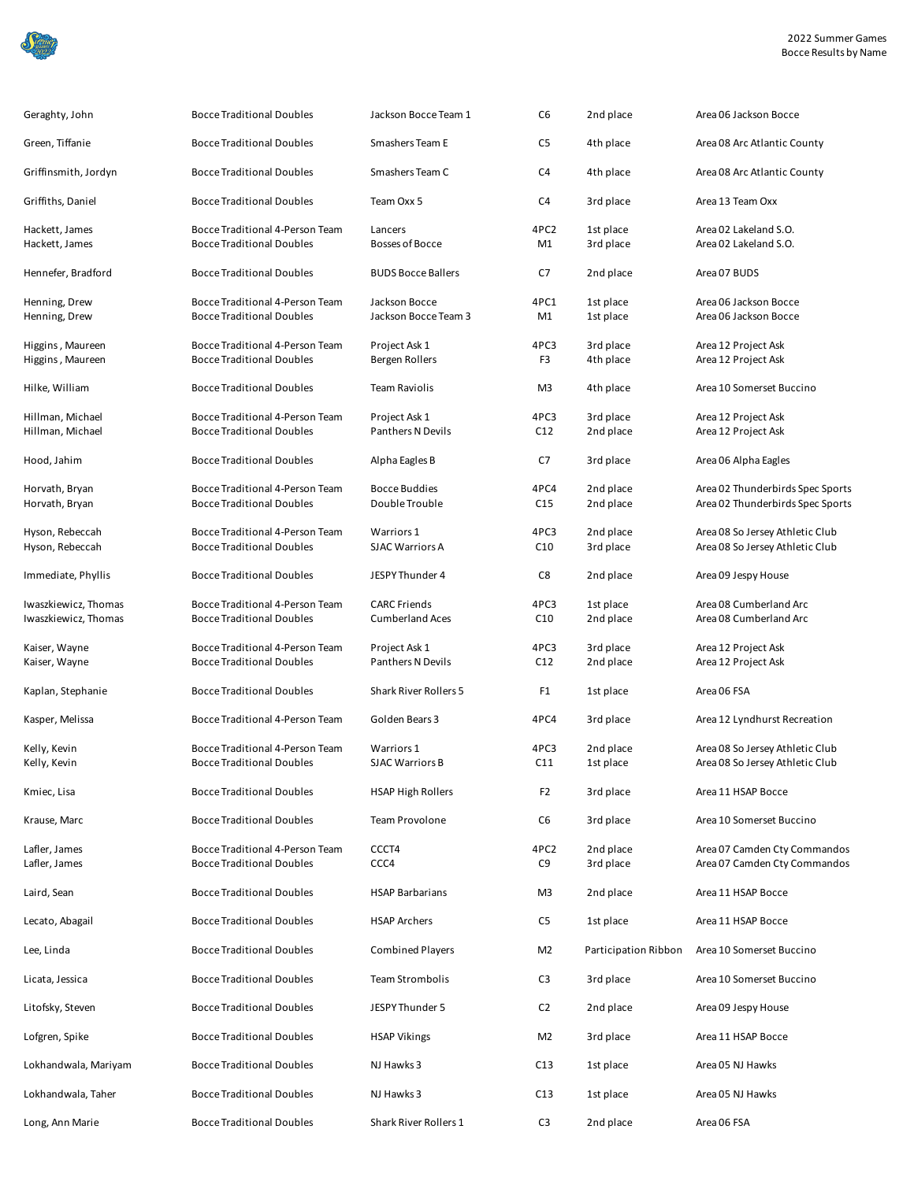

| Geraghty, John                   | <b>Bocce Traditional Doubles</b>                                    | Jackson Bocce Team 1                  | C <sub>6</sub> | 2nd place              | Area 06 Jackson Bocce                          |
|----------------------------------|---------------------------------------------------------------------|---------------------------------------|----------------|------------------------|------------------------------------------------|
| Green, Tiffanie                  | <b>Bocce Traditional Doubles</b>                                    | Smashers Team E                       | C5             | 4th place              | Area 08 Arc Atlantic County                    |
| Griffinsmith, Jordyn             | <b>Bocce Traditional Doubles</b>                                    | Smashers Team C                       | C4             | 4th place              | Area 08 Arc Atlantic County                    |
| Griffiths, Daniel                | <b>Bocce Traditional Doubles</b>                                    | Team Oxx 5                            | C4             | 3rd place              | Area 13 Team Oxx                               |
| Hackett, James<br>Hackett, James | Bocce Traditional 4-Person Team<br><b>Bocce Traditional Doubles</b> | Lancers<br><b>Bosses of Bocce</b>     | 4PC2<br>M1     | 1st place<br>3rd place | Area 02 Lakeland S.O.<br>Area 02 Lakeland S.O. |
| Hennefer, Bradford               | <b>Bocce Traditional Doubles</b>                                    | <b>BUDS Bocce Ballers</b>             | C7             | 2nd place              | Area 07 BUDS                                   |
| Henning, Drew<br>Henning, Drew   | Bocce Traditional 4-Person Team<br><b>Bocce Traditional Doubles</b> | Jackson Bocce<br>Jackson Bocce Team 3 | 4PC1<br>M1     | 1st place<br>1st place | Area 06 Jackson Bocce<br>Area 06 Jackson Bocce |
|                                  |                                                                     |                                       |                |                        |                                                |
| Higgins, Maureen                 | Bocce Traditional 4-Person Team                                     | Project Ask 1                         | 4PC3           | 3rd place              | Area 12 Project Ask                            |
| Higgins, Maureen                 | <b>Bocce Traditional Doubles</b>                                    | Bergen Rollers                        | F3             | 4th place              | Area 12 Project Ask                            |
| Hilke, William                   | <b>Bocce Traditional Doubles</b>                                    | <b>Team Raviolis</b>                  | M3             | 4th place              | Area 10 Somerset Buccino                       |
| Hillman, Michael                 | Bocce Traditional 4-Person Team                                     | Project Ask 1                         | 4PC3           | 3rd place              | Area 12 Project Ask                            |
| Hillman, Michael                 | <b>Bocce Traditional Doubles</b>                                    | Panthers N Devils                     | C12            | 2nd place              | Area 12 Project Ask                            |
| Hood, Jahim                      | <b>Bocce Traditional Doubles</b>                                    | Alpha Eagles B                        | C7             | 3rd place              | Area 06 Alpha Eagles                           |
| Horvath, Bryan                   | Bocce Traditional 4-Person Team                                     | <b>Bocce Buddies</b>                  | 4PC4           | 2nd place              | Area 02 Thunderbirds Spec Sports               |
| Horvath, Bryan                   | <b>Bocce Traditional Doubles</b>                                    | Double Trouble                        | C15            | 2nd place              | Area 02 Thunderbirds Spec Sports               |
|                                  |                                                                     |                                       |                |                        |                                                |
| Hyson, Rebeccah                  | Bocce Traditional 4-Person Team                                     | Warriors 1                            | 4PC3           | 2nd place              | Area 08 So Jersey Athletic Club                |
| Hyson, Rebeccah                  | <b>Bocce Traditional Doubles</b>                                    | <b>SJAC Warriors A</b>                | C10            | 3rd place              | Area 08 So Jersey Athletic Club                |
| Immediate, Phyllis               | <b>Bocce Traditional Doubles</b>                                    | JESPY Thunder 4                       | C8             | 2nd place              | Area 09 Jespy House                            |
| Iwaszkiewicz, Thomas             | Bocce Traditional 4-Person Team                                     | <b>CARC Friends</b>                   | 4PC3           | 1st place              | Area 08 Cumberland Arc                         |
| Iwaszkiewicz, Thomas             | <b>Bocce Traditional Doubles</b>                                    | <b>Cumberland Aces</b>                | C10            | 2nd place              | Area 08 Cumberland Arc                         |
|                                  |                                                                     |                                       |                |                        |                                                |
| Kaiser, Wayne                    | Bocce Traditional 4-Person Team                                     | Project Ask 1                         | 4PC3           | 3rd place              | Area 12 Project Ask                            |
| Kaiser, Wayne                    | <b>Bocce Traditional Doubles</b>                                    | Panthers N Devils                     | C12            | 2nd place              | Area 12 Project Ask                            |
| Kaplan, Stephanie                | <b>Bocce Traditional Doubles</b>                                    | <b>Shark River Rollers 5</b>          | F1             | 1st place              | Area 06 FSA                                    |
| Kasper, Melissa                  | Bocce Traditional 4-Person Team                                     | Golden Bears 3                        | 4PC4           | 3rd place              | Area 12 Lyndhurst Recreation                   |
| Kelly, Kevin                     | Bocce Traditional 4-Person Team                                     | Warriors 1                            | 4PC3           | 2nd place              | Area 08 So Jersey Athletic Club                |
| Kelly, Kevin                     | <b>Bocce Traditional Doubles</b>                                    | <b>SJAC Warriors B</b>                | C11            | 1st place              | Area 08 So Jersey Athletic Club                |
| Kmiec, Lisa                      | <b>Bocce Traditional Doubles</b>                                    | <b>HSAP High Rollers</b>              | F <sub>2</sub> | 3rd place              | Area 11 HSAP Bocce                             |
| Krause, Marc                     | <b>Bocce Traditional Doubles</b>                                    | Team Provolone                        | C6             | 3rd place              | Area 10 Somerset Buccino                       |
| Lafler, James                    | Bocce Traditional 4-Person Team                                     | CCCT4                                 | 4PC2           | 2nd place              | Area 07 Camden Cty Commandos                   |
| Lafler, James                    | <b>Bocce Traditional Doubles</b>                                    | CCC4                                  | C9             | 3rd place              | Area 07 Camden Cty Commandos                   |
| Laird, Sean                      | <b>Bocce Traditional Doubles</b>                                    | <b>HSAP Barbarians</b>                | M <sub>3</sub> | 2nd place              | Area 11 HSAP Bocce                             |
| Lecato, Abagail                  | <b>Bocce Traditional Doubles</b>                                    | <b>HSAP Archers</b>                   | C5             | 1st place              | Area 11 HSAP Bocce                             |
| Lee, Linda                       | <b>Bocce Traditional Doubles</b>                                    | <b>Combined Players</b>               | M <sub>2</sub> | Participation Ribbon   | Area 10 Somerset Buccino                       |
| Licata, Jessica                  | <b>Bocce Traditional Doubles</b>                                    | Team Strombolis                       | C3             | 3rd place              | Area 10 Somerset Buccino                       |
| Litofsky, Steven                 | <b>Bocce Traditional Doubles</b>                                    | JESPY Thunder 5                       | C <sub>2</sub> | 2nd place              | Area 09 Jespy House                            |
| Lofgren, Spike                   | <b>Bocce Traditional Doubles</b>                                    | <b>HSAP Vikings</b>                   | M <sub>2</sub> | 3rd place              | Area 11 HSAP Bocce                             |
| Lokhandwala, Mariyam             | <b>Bocce Traditional Doubles</b>                                    | NJ Hawks 3                            | C13            | 1st place              | Area 05 NJ Hawks                               |
| Lokhandwala, Taher               | <b>Bocce Traditional Doubles</b>                                    | NJ Hawks 3                            | C13            | 1st place              | Area 05 NJ Hawks                               |
| Long, Ann Marie                  | <b>Bocce Traditional Doubles</b>                                    | Shark River Rollers 1                 | C <sub>3</sub> | 2nd place              | Area 06 FSA                                    |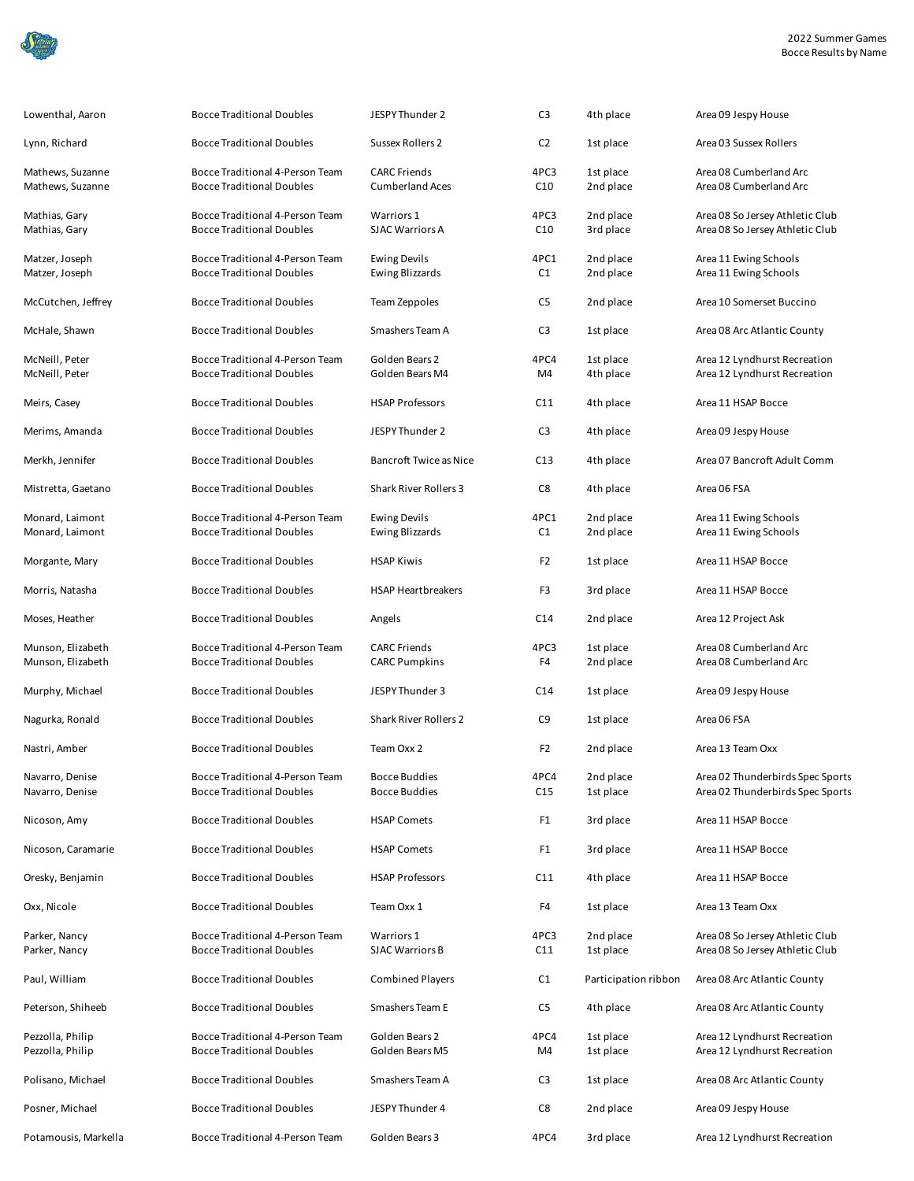

| Lowenthal, Aaron                       | <b>Bocce Traditional Doubles</b>                                    | JESPY Thunder 2                               | C <sub>3</sub>  | 4th place              | Area 09 Jespy House                                                |
|----------------------------------------|---------------------------------------------------------------------|-----------------------------------------------|-----------------|------------------------|--------------------------------------------------------------------|
| Lynn, Richard                          | <b>Bocce Traditional Doubles</b>                                    | <b>Sussex Rollers 2</b>                       | C <sub>2</sub>  | 1st place              | Area 03 Sussex Rollers                                             |
| Mathews, Suzanne<br>Mathews, Suzanne   | Bocce Traditional 4-Person Team<br><b>Bocce Traditional Doubles</b> | <b>CARC Friends</b><br><b>Cumberland Aces</b> | 4PC3<br>C10     | 1st place<br>2nd place | Area 08 Cumberland Arc<br>Area 08 Cumberland Arc                   |
| Mathias, Gary<br>Mathias, Gary         | Bocce Traditional 4-Person Team<br><b>Bocce Traditional Doubles</b> | Warriors 1<br><b>SJAC Warriors A</b>          | 4PC3<br>C10     | 2nd place<br>3rd place | Area 08 So Jersey Athletic Club<br>Area 08 So Jersey Athletic Club |
| Matzer, Joseph<br>Matzer, Joseph       | Bocce Traditional 4-Person Team<br><b>Bocce Traditional Doubles</b> | <b>Ewing Devils</b><br><b>Ewing Blizzards</b> | 4PC1<br>C1      | 2nd place<br>2nd place | Area 11 Ewing Schools<br>Area 11 Ewing Schools                     |
| McCutchen, Jeffrey                     | <b>Bocce Traditional Doubles</b>                                    | Team Zeppoles                                 | C5              | 2nd place              | Area 10 Somerset Buccino                                           |
| McHale, Shawn                          | <b>Bocce Traditional Doubles</b>                                    | Smashers Team A                               | C <sub>3</sub>  | 1st place              | Area 08 Arc Atlantic County                                        |
| McNeill, Peter<br>McNeill, Peter       | Bocce Traditional 4-Person Team<br><b>Bocce Traditional Doubles</b> | Golden Bears 2<br>Golden Bears M4             | 4PC4<br>M4      | 1st place<br>4th place | Area 12 Lyndhurst Recreation<br>Area 12 Lyndhurst Recreation       |
| Meirs, Casey                           | <b>Bocce Traditional Doubles</b>                                    | <b>HSAP Professors</b>                        | C11             | 4th place              | Area 11 HSAP Bocce                                                 |
| Merims, Amanda                         | <b>Bocce Traditional Doubles</b>                                    | JESPY Thunder 2                               | C <sub>3</sub>  | 4th place              | Area 09 Jespy House                                                |
| Merkh, Jennifer                        | <b>Bocce Traditional Doubles</b>                                    | <b>Bancroft Twice as Nice</b>                 | C13             | 4th place              | Area 07 Bancroft Adult Comm                                        |
| Mistretta, Gaetano                     | <b>Bocce Traditional Doubles</b>                                    | Shark River Rollers 3                         | C8              | 4th place              | Area 06 FSA                                                        |
| Monard, Laimont<br>Monard, Laimont     | Bocce Traditional 4-Person Team<br><b>Bocce Traditional Doubles</b> | <b>Ewing Devils</b><br>Ewing Blizzards        | 4PC1<br>C1      | 2nd place<br>2nd place | Area 11 Ewing Schools<br>Area 11 Ewing Schools                     |
| Morgante, Mary                         | <b>Bocce Traditional Doubles</b>                                    | <b>HSAP Kiwis</b>                             | F <sub>2</sub>  | 1st place              | Area 11 HSAP Bocce                                                 |
| Morris, Natasha                        | <b>Bocce Traditional Doubles</b>                                    | <b>HSAP Heartbreakers</b>                     | F3              | 3rd place              | Area 11 HSAP Bocce                                                 |
| Moses, Heather                         | <b>Bocce Traditional Doubles</b>                                    | Angels                                        | C14             | 2nd place              | Area 12 Project Ask                                                |
| Munson, Elizabeth<br>Munson, Elizabeth | Bocce Traditional 4-Person Team<br><b>Bocce Traditional Doubles</b> | <b>CARC Friends</b><br><b>CARC Pumpkins</b>   | 4PC3<br>F4      | 1st place<br>2nd place | Area 08 Cumberland Arc<br>Area 08 Cumberland Arc                   |
| Murphy, Michael                        | <b>Bocce Traditional Doubles</b>                                    | JESPY Thunder 3                               | C <sub>14</sub> | 1st place              | Area 09 Jespy House                                                |
| Nagurka, Ronald                        | <b>Bocce Traditional Doubles</b>                                    | Shark River Rollers 2                         | C9              | 1st place              | Area 06 FSA                                                        |
| Nastri, Amber                          | <b>Bocce Traditional Doubles</b>                                    | Team Oxx 2                                    | F <sub>2</sub>  | 2nd place              | Area 13 Team Oxx                                                   |
| Navarro, Denise                        | Bocce Traditional 4-Person Team                                     | <b>Bocce Buddies</b>                          | 4PC4            | 2nd place              | Area 02 Thunderbirds Spec Sports                                   |
| Navarro, Denise                        | <b>Bocce Traditional Doubles</b>                                    | <b>Bocce Buddies</b>                          | C15             | 1st place              | Area 02 Thunderbirds Spec Sports                                   |
| Nicoson, Amy                           | <b>Bocce Traditional Doubles</b>                                    | <b>HSAP Comets</b>                            | F1              | 3rd place              | Area 11 HSAP Bocce                                                 |
| Nicoson, Caramarie                     | <b>Bocce Traditional Doubles</b>                                    | <b>HSAP Comets</b>                            | F1              | 3rd place              | Area 11 HSAP Bocce                                                 |
| Oresky, Benjamin                       | <b>Bocce Traditional Doubles</b>                                    | <b>HSAP Professors</b>                        | C11             | 4th place              | Area 11 HSAP Bocce                                                 |
| Oxx, Nicole                            | <b>Bocce Traditional Doubles</b>                                    | Team Oxx 1                                    | F4              | 1st place              | Area 13 Team Oxx                                                   |
| Parker, Nancy<br>Parker, Nancy         | Bocce Traditional 4-Person Team<br><b>Bocce Traditional Doubles</b> | Warriors 1<br><b>SJAC Warriors B</b>          | 4PC3<br>C11     | 2nd place<br>1st place | Area 08 So Jersey Athletic Club<br>Area 08 So Jersey Athletic Club |
| Paul, William                          | <b>Bocce Traditional Doubles</b>                                    | <b>Combined Players</b>                       | C1              | Participation ribbon   | Area 08 Arc Atlantic County                                        |
| Peterson, Shiheeb                      | <b>Bocce Traditional Doubles</b>                                    | Smashers Team E                               | C5              | 4th place              | Area 08 Arc Atlantic County                                        |
| Pezzolla, Philip<br>Pezzolla, Philip   | Bocce Traditional 4-Person Team<br><b>Bocce Traditional Doubles</b> | Golden Bears 2<br>Golden Bears M5             | 4PC4<br>M4      | 1st place<br>1st place | Area 12 Lyndhurst Recreation<br>Area 12 Lyndhurst Recreation       |
| Polisano, Michael                      | <b>Bocce Traditional Doubles</b>                                    | Smashers Team A                               | C3              | 1st place              | Area 08 Arc Atlantic County                                        |
| Posner, Michael                        | <b>Bocce Traditional Doubles</b>                                    | JESPY Thunder 4                               | C8              | 2nd place              | Area 09 Jespy House                                                |
| Potamousis, Markella                   | Bocce Traditional 4-Person Team                                     | Golden Bears 3                                | 4PC4            | 3rd place              | Area 12 Lyndhurst Recreation                                       |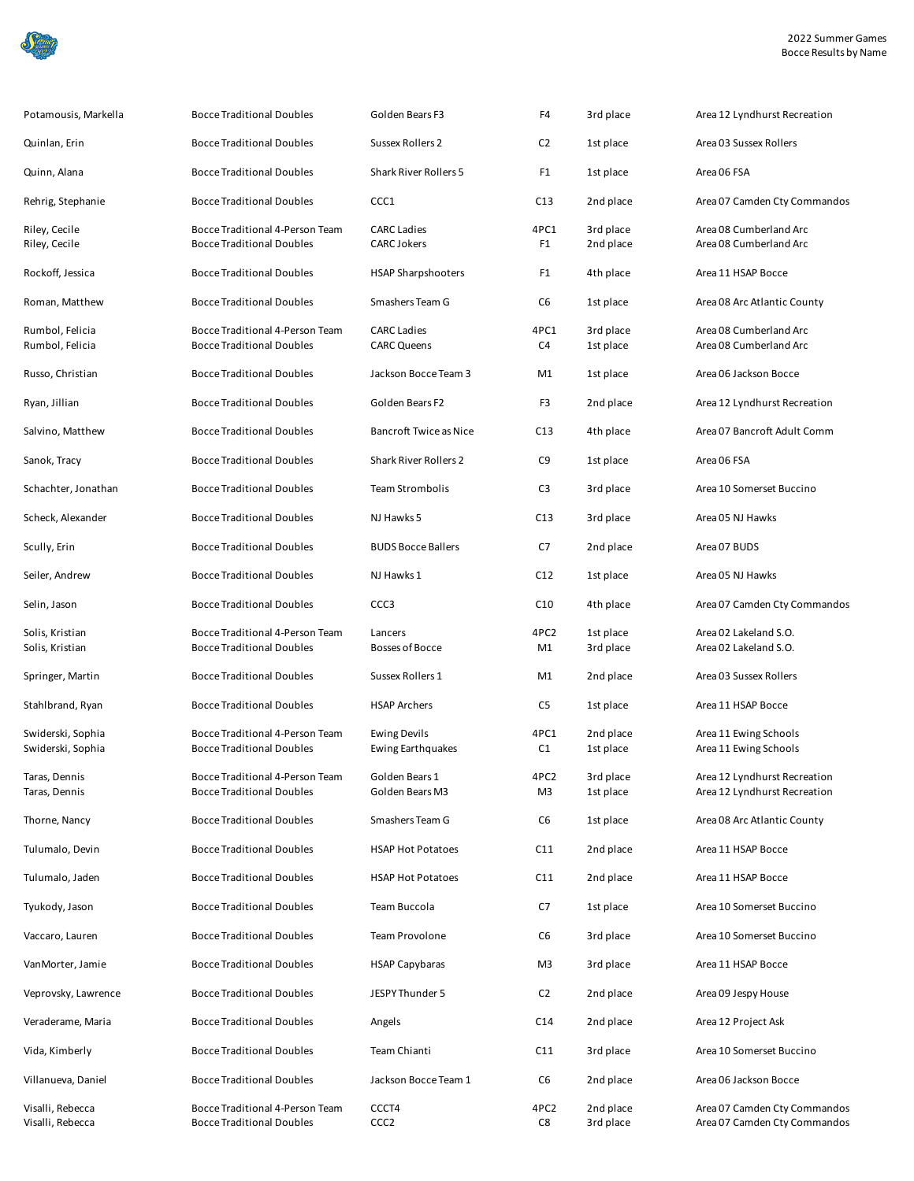

| Potamousis, Markella                   | <b>Bocce Traditional Doubles</b>                                    | Golden Bears F3                                 | F4                     | 3rd place              | Area 12 Lyndhurst Recreation                                 |
|----------------------------------------|---------------------------------------------------------------------|-------------------------------------------------|------------------------|------------------------|--------------------------------------------------------------|
| Quinlan, Erin                          | <b>Bocce Traditional Doubles</b>                                    | <b>Sussex Rollers 2</b>                         | C <sub>2</sub>         | 1st place              | Area 03 Sussex Rollers                                       |
| Quinn, Alana                           | <b>Bocce Traditional Doubles</b>                                    | Shark River Rollers 5                           | F1                     | 1st place              | Area 06 FSA                                                  |
| Rehrig, Stephanie                      | <b>Bocce Traditional Doubles</b>                                    | CCC1                                            | C13                    | 2nd place              | Area 07 Camden Cty Commandos                                 |
| Riley, Cecile<br>Riley, Cecile         | Bocce Traditional 4-Person Team<br><b>Bocce Traditional Doubles</b> | <b>CARC Ladies</b><br><b>CARC Jokers</b>        | 4PC1<br>F1             | 3rd place<br>2nd place | Area 08 Cumberland Arc<br>Area 08 Cumberland Arc             |
| Rockoff, Jessica                       | <b>Bocce Traditional Doubles</b>                                    | <b>HSAP Sharpshooters</b>                       | F1                     | 4th place              | Area 11 HSAP Bocce                                           |
| Roman, Matthew                         | <b>Bocce Traditional Doubles</b>                                    | Smashers Team G                                 | C6                     | 1st place              | Area 08 Arc Atlantic County                                  |
| Rumbol, Felicia<br>Rumbol, Felicia     | Bocce Traditional 4-Person Team<br><b>Bocce Traditional Doubles</b> | <b>CARC Ladies</b><br><b>CARC Queens</b>        | 4PC1<br>C4             | 3rd place<br>1st place | Area 08 Cumberland Arc<br>Area 08 Cumberland Arc             |
| Russo, Christian                       | <b>Bocce Traditional Doubles</b>                                    | Jackson Bocce Team 3                            | M1                     | 1st place              | Area 06 Jackson Bocce                                        |
| Ryan, Jillian                          | <b>Bocce Traditional Doubles</b>                                    | Golden Bears F2                                 | F3                     | 2nd place              | Area 12 Lyndhurst Recreation                                 |
| Salvino, Matthew                       | <b>Bocce Traditional Doubles</b>                                    | <b>Bancroft Twice as Nice</b>                   | C13                    | 4th place              | Area 07 Bancroft Adult Comm                                  |
| Sanok, Tracy                           | <b>Bocce Traditional Doubles</b>                                    | <b>Shark River Rollers 2</b>                    | C9                     | 1st place              | Area 06 FSA                                                  |
| Schachter, Jonathan                    | <b>Bocce Traditional Doubles</b>                                    | Team Strombolis                                 | C <sub>3</sub>         | 3rd place              | Area 10 Somerset Buccino                                     |
| Scheck, Alexander                      | <b>Bocce Traditional Doubles</b>                                    | NJ Hawks 5                                      | C13                    | 3rd place              | Area 05 NJ Hawks                                             |
| Scully, Erin                           | <b>Bocce Traditional Doubles</b>                                    | <b>BUDS Bocce Ballers</b>                       | C7                     | 2nd place              | Area 07 BUDS                                                 |
| Seiler, Andrew                         | <b>Bocce Traditional Doubles</b>                                    | NJ Hawks 1                                      | C12                    | 1st place              | Area 05 NJ Hawks                                             |
| Selin, Jason                           | <b>Bocce Traditional Doubles</b>                                    | CCC <sub>3</sub>                                | C10                    | 4th place              | Area 07 Camden Cty Commandos                                 |
| Solis, Kristian<br>Solis, Kristian     | Bocce Traditional 4-Person Team<br><b>Bocce Traditional Doubles</b> | Lancers<br><b>Bosses of Bocce</b>               | 4PC <sub>2</sub><br>M1 | 1st place<br>3rd place | Area 02 Lakeland S.O.<br>Area 02 Lakeland S.O.               |
| Springer, Martin                       | <b>Bocce Traditional Doubles</b>                                    | Sussex Rollers 1                                | M1                     | 2nd place              | Area 03 Sussex Rollers                                       |
| Stahlbrand, Ryan                       | <b>Bocce Traditional Doubles</b>                                    | <b>HSAP Archers</b>                             | C5                     | 1st place              | Area 11 HSAP Bocce                                           |
| Swiderski, Sophia<br>Swiderski, Sophia | Bocce Traditional 4-Person Team<br><b>Bocce Traditional Doubles</b> | <b>Ewing Devils</b><br><b>Ewing Earthquakes</b> | 4PC1<br>C1             | 2nd place<br>1st place | Area 11 Ewing Schools<br>Area 11 Ewing Schools               |
| Taras, Dennis<br>Taras, Dennis         | Bocce Traditional 4-Person Team<br><b>Bocce Traditional Doubles</b> | Golden Bears 1<br>Golden Bears M3               | 4PC2<br>M3             | 3rd place<br>1st place | Area 12 Lyndhurst Recreation<br>Area 12 Lyndhurst Recreation |
| Thorne, Nancy                          | <b>Bocce Traditional Doubles</b>                                    | Smashers Team G                                 | C6                     | 1st place              | Area 08 Arc Atlantic County                                  |
| Tulumalo, Devin                        | <b>Bocce Traditional Doubles</b>                                    | <b>HSAP Hot Potatoes</b>                        | C11                    | 2nd place              | Area 11 HSAP Bocce                                           |
| Tulumalo, Jaden                        | <b>Bocce Traditional Doubles</b>                                    | <b>HSAP Hot Potatoes</b>                        | C11                    | 2nd place              | Area 11 HSAP Bocce                                           |
| Tyukody, Jason                         | <b>Bocce Traditional Doubles</b>                                    | Team Buccola                                    | C7                     | 1st place              | Area 10 Somerset Buccino                                     |
| Vaccaro, Lauren                        | <b>Bocce Traditional Doubles</b>                                    | Team Provolone                                  | C6                     | 3rd place              | Area 10 Somerset Buccino                                     |
| VanMorter, Jamie                       | <b>Bocce Traditional Doubles</b>                                    | <b>HSAP Capybaras</b>                           | M3                     | 3rd place              | Area 11 HSAP Bocce                                           |
| Veprovsky, Lawrence                    | <b>Bocce Traditional Doubles</b>                                    | <b>JESPY Thunder 5</b>                          | C <sub>2</sub>         | 2nd place              | Area 09 Jespy House                                          |
| Veraderame, Maria                      | <b>Bocce Traditional Doubles</b>                                    | Angels                                          | C14                    | 2nd place              | Area 12 Project Ask                                          |
| Vida, Kimberly                         | <b>Bocce Traditional Doubles</b>                                    | Team Chianti                                    | C11                    | 3rd place              | Area 10 Somerset Buccino                                     |
| Villanueva, Daniel                     | <b>Bocce Traditional Doubles</b>                                    | Jackson Bocce Team 1                            | C6                     | 2nd place              | Area 06 Jackson Bocce                                        |
| Visalli, Rebecca<br>Visalli, Rebecca   | Bocce Traditional 4-Person Team<br><b>Bocce Traditional Doubles</b> | CCCT4<br>CCC <sub>2</sub>                       | 4PC <sub>2</sub><br>C8 | 2nd place<br>3rd place | Area 07 Camden Cty Commandos<br>Area 07 Camden Cty Commandos |